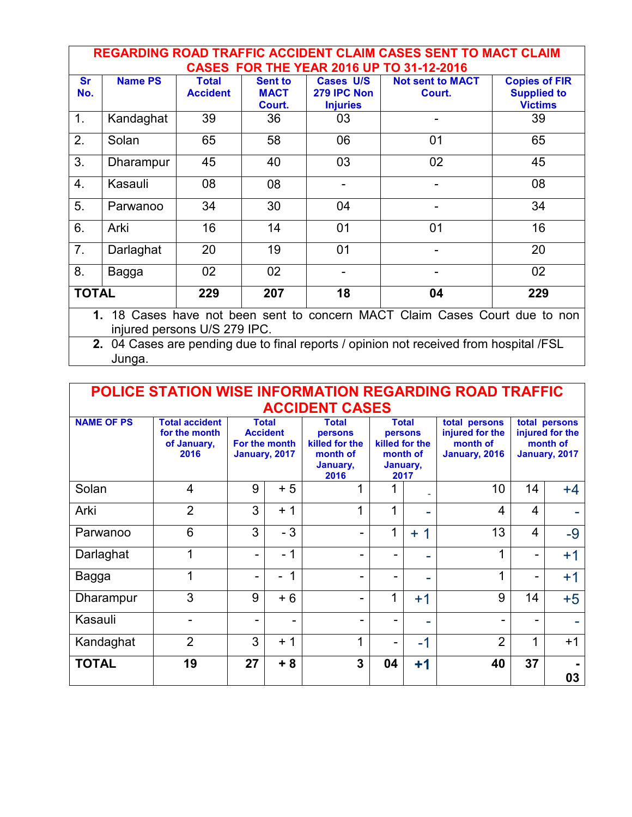| <b>REGARDING ROAD TRAFFIC ACCIDENT CLAIM CASES SENT TO MACT CLAIM</b><br><b>CASES FOR THE YEAR 2016 UP TO 31-12-2016</b> |                |                                 |                                         |                                                    |                                   |                                                              |  |
|--------------------------------------------------------------------------------------------------------------------------|----------------|---------------------------------|-----------------------------------------|----------------------------------------------------|-----------------------------------|--------------------------------------------------------------|--|
| <b>Sr</b><br>No.                                                                                                         | <b>Name PS</b> | <b>Total</b><br><b>Accident</b> | <b>Sent to</b><br><b>MACT</b><br>Court. | <b>Cases U/S</b><br>279 IPC Non<br><b>Injuries</b> | <b>Not sent to MACT</b><br>Court. | <b>Copies of FIR</b><br><b>Supplied to</b><br><b>Victims</b> |  |
| 1.                                                                                                                       | Kandaghat      | 39                              | 36                                      | 03                                                 |                                   | 39                                                           |  |
| 2.                                                                                                                       | Solan          | 65                              | 58                                      | 06                                                 | 01                                | 65                                                           |  |
| 3.                                                                                                                       | Dharampur      | 45                              | 40                                      | 03                                                 | 02                                | 45                                                           |  |
| 4.                                                                                                                       | Kasauli        | 08                              | 08                                      |                                                    |                                   | 08                                                           |  |
| 5.                                                                                                                       | Parwanoo       | 34                              | 30                                      | 04                                                 |                                   | 34                                                           |  |
| 6.                                                                                                                       | Arki           | 16                              | 14                                      | 01                                                 | 01                                | 16                                                           |  |
| 7 <sub>1</sub>                                                                                                           | Darlaghat      | 20                              | 19                                      | 0 <sub>1</sub>                                     |                                   | 20                                                           |  |
| 8.                                                                                                                       | Bagga          | 02                              | 02                                      |                                                    |                                   | 02                                                           |  |
| <b>TOTAL</b>                                                                                                             |                | 229                             | 207                                     | 18                                                 | 04                                | 229                                                          |  |
| 18 Cases have not been sent to concern MACT Claim Cases Court due to non<br>1.<br>injured persons U/S 279 IPC.           |                |                                 |                                         |                                                    |                                   |                                                              |  |

**2.** 04 Cases are pending due to final reports / opinion not received from hospital /FSL Junga.

## **POLICE STATION WISE INFORMATION REGARDING ROAD TRAFFIC ACCIDENT CASES**

| <b>NAME OF PS</b> | <b>Total accident</b><br>for the month<br>of January,<br>2016 |    | <b>Total</b><br><b>Accident</b><br>For the month<br>January, 2017 | <b>Total</b><br>persons<br>killed for the<br>month of<br>January,<br>2016 | <b>Total</b><br>persons<br>killed for the<br>month of<br>January,<br>2017 |          | total persons<br>injured for the<br>month of<br>January, 2016 | total persons<br>injured for the<br>month of<br>January, 2017 |      |
|-------------------|---------------------------------------------------------------|----|-------------------------------------------------------------------|---------------------------------------------------------------------------|---------------------------------------------------------------------------|----------|---------------------------------------------------------------|---------------------------------------------------------------|------|
| Solan             | 4                                                             | 9  | $+5$                                                              | 1                                                                         |                                                                           |          | 10                                                            | 14                                                            | $+4$ |
| Arki              | $\overline{2}$                                                | 3  | $+1$                                                              | 1                                                                         | 1                                                                         |          | 4                                                             | 4                                                             |      |
| Parwanoo          | 6                                                             | 3  | $-3$                                                              | -                                                                         | 1                                                                         | 1<br>$+$ | 13                                                            | 4                                                             | $-9$ |
| Darlaghat         | 1                                                             | -  | - 1                                                               | -                                                                         |                                                                           | -        | 1                                                             | -                                                             | $+1$ |
| Bagga             | 1                                                             | -  | 1<br>۳                                                            | -                                                                         |                                                                           | -        | 1                                                             | ۰                                                             | $+1$ |
| Dharampur         | 3                                                             | 9  | $+6$                                                              | -                                                                         | 1                                                                         | $+1$     | 9                                                             | 14                                                            | $+5$ |
| Kasauli           |                                                               | -  | -                                                                 | $\blacksquare$                                                            |                                                                           | ÷        |                                                               | -                                                             |      |
| Kandaghat         | $\overline{2}$                                                | 3  | $+1$                                                              | 1                                                                         |                                                                           | $-1$     | $\overline{2}$                                                | ◢                                                             | $+1$ |
| <b>TOTAL</b>      | 19                                                            | 27 | $+8$                                                              | $\overline{\mathbf{3}}$                                                   | 04                                                                        | $+1$     | 40                                                            | 37                                                            | 03   |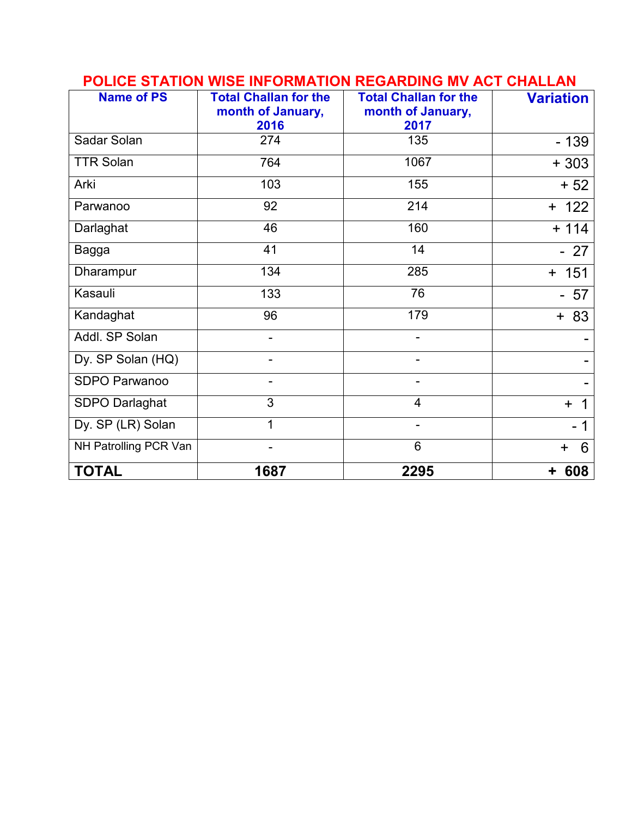| <b>Name of PS</b>     | <b>Total Challan for the</b><br>month of January, | <b>Total Challan for the</b><br>month of January, | <b>Variation</b> |
|-----------------------|---------------------------------------------------|---------------------------------------------------|------------------|
|                       | 2016                                              | 2017                                              |                  |
| Sadar Solan           | 274                                               | 135                                               | $-139$           |
| <b>TTR Solan</b>      | 764                                               | 1067                                              | $+303$           |
| Arki                  | 103                                               | 155                                               | $+52$            |
| Parwanoo              | 92                                                | 214                                               | $+ 122$          |
| Darlaghat             | 46                                                | 160                                               | $+ 114$          |
| Bagga                 | 41                                                | 14                                                | $-27$            |
| Dharampur             | 134                                               | 285                                               | $+ 151$          |
| Kasauli               | 133                                               | 76                                                | $-57$            |
| Kandaghat             | 96                                                | 179                                               | $+ 83$           |
| Addl. SP Solan        |                                                   |                                                   |                  |
| Dy. SP Solan (HQ)     |                                                   |                                                   |                  |
| SDPO Parwanoo         |                                                   |                                                   |                  |
| SDPO Darlaghat        | 3                                                 | 4                                                 | $\ddot{}$        |
| Dy. SP (LR) Solan     | 1                                                 |                                                   |                  |
| NH Patrolling PCR Van |                                                   | 6                                                 | 6<br>$\ddot{}$   |
| <b>TOTAL</b>          | 1687                                              | 2295                                              | 608<br>٠         |

## **POLICE STATION WISE INFORMATION REGARDING MV ACT CHALLAN**